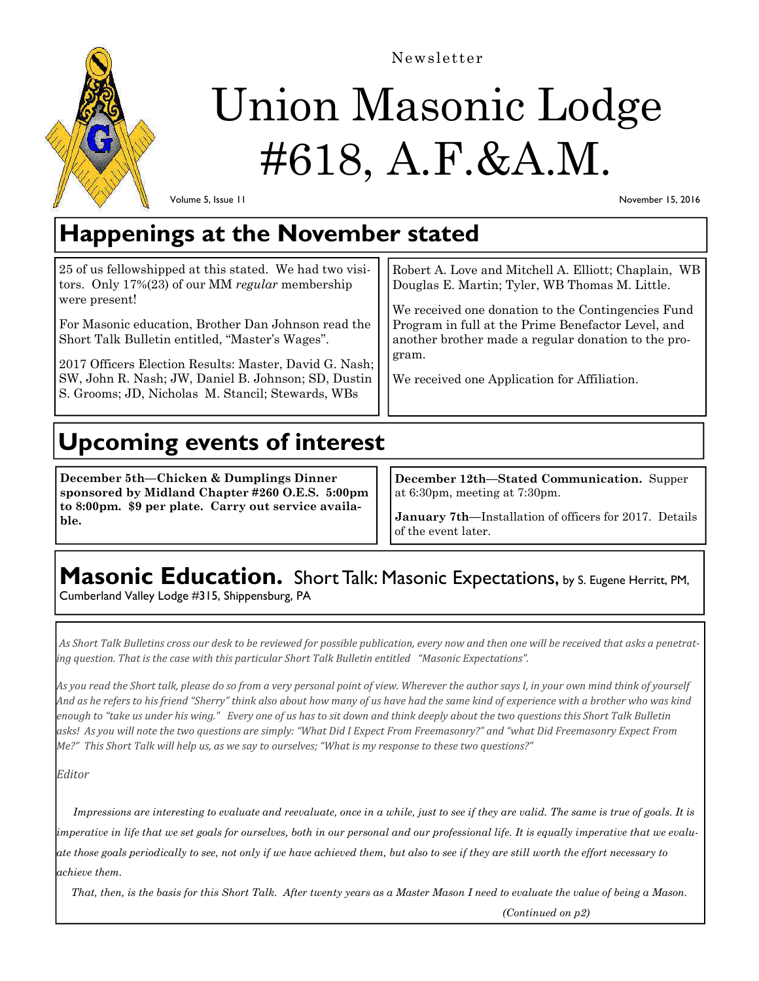

Newsletter

# Union Masonic Lodge #618, A.F.&A.M.

Volume 5, Issue 11

November 15, 2016

## **Happenings at the November stated**

| 25 of us fellowshipped at this stated. We had two visi-<br>tors. Only $17\%(23)$ of our MM regular membership<br>were present!<br>For Masonic education, Brother Dan Johnson read the<br>Short Talk Bulletin entitled, "Master's Wages".<br>2017 Officers Election Results: Master, David G. Nash;<br>SW, John R. Nash; JW, Daniel B. Johnson; SD, Dustin<br>S. Grooms; JD, Nicholas M. Stancil; Stewards, WBs | Robert A. Love and Mitchell A. Elliott; Chaplain, WB<br>Douglas E. Martin; Tyler, WB Thomas M. Little.<br>We received one donation to the Contingencies Fund<br>Program in full at the Prime Benefactor Level, and<br>another brother made a regular donation to the pro-<br>gram.<br>We received one Application for Affiliation. |
|----------------------------------------------------------------------------------------------------------------------------------------------------------------------------------------------------------------------------------------------------------------------------------------------------------------------------------------------------------------------------------------------------------------|------------------------------------------------------------------------------------------------------------------------------------------------------------------------------------------------------------------------------------------------------------------------------------------------------------------------------------|
|----------------------------------------------------------------------------------------------------------------------------------------------------------------------------------------------------------------------------------------------------------------------------------------------------------------------------------------------------------------------------------------------------------------|------------------------------------------------------------------------------------------------------------------------------------------------------------------------------------------------------------------------------------------------------------------------------------------------------------------------------------|

# **Upcoming events of interest**

**December 5th—Chicken & Dumplings Dinner sponsored by Midland Chapter #260 O.E.S. 5:00pm to 8:00pm. \$9 per plate. Carry out service available.** 

**December 12th—Stated Communication.** Supper at 6:30pm, meeting at 7:30pm.

**January 7th—**Installation of officers for 2017. Details of the event later.

# **Masonic Education.** Short Talk: Masonic Expectations, by S. Eugene Herritt, PM,

Cumberland Valley Lodge #315, Shippensburg, PA

As Short Talk Bulletins cross our desk to be reviewed for possible publication, every now and then one will be received that asks a penetrat*ing question. That is the case with this particular Short Talk Bulletin entitled "Masonic Expectations".*

As you read the Short talk, please do so from a very personal point of view. Wherever the author says I, in your own mind think of yourself And as he refers to his friend "Sherry" think also about how many of us have had the same kind of experience with a brother who was kind enough to "take us under his wing." Every one of us has to sit down and think deeply about the two questions this Short Talk Bulletin asks! As you will note the two questions are simply: "What Did I Expect From Freemasonry?" and "what Did Freemasonry Expect From "Me?" This Short Talk will help us, as we say to ourselves; "What is my response to these two questions?"

*Editor*

 *Impressions are interesting to evaluate and reevaluate, once in a while, just to see if they are valid. The same is true of goals. It is imperative in life that we set goals for ourselves, both in our personal and our professional life. It is equally imperative that we evaluate those goals periodically to see, not only if we have achieved them, but also to see if they are still worth the effort necessary to achieve them.* 

 *That, then, is the basis for this Short Talk. After twenty years as a Master Mason I need to evaluate the value of being a Mason.* 

 *(Continued on p2)*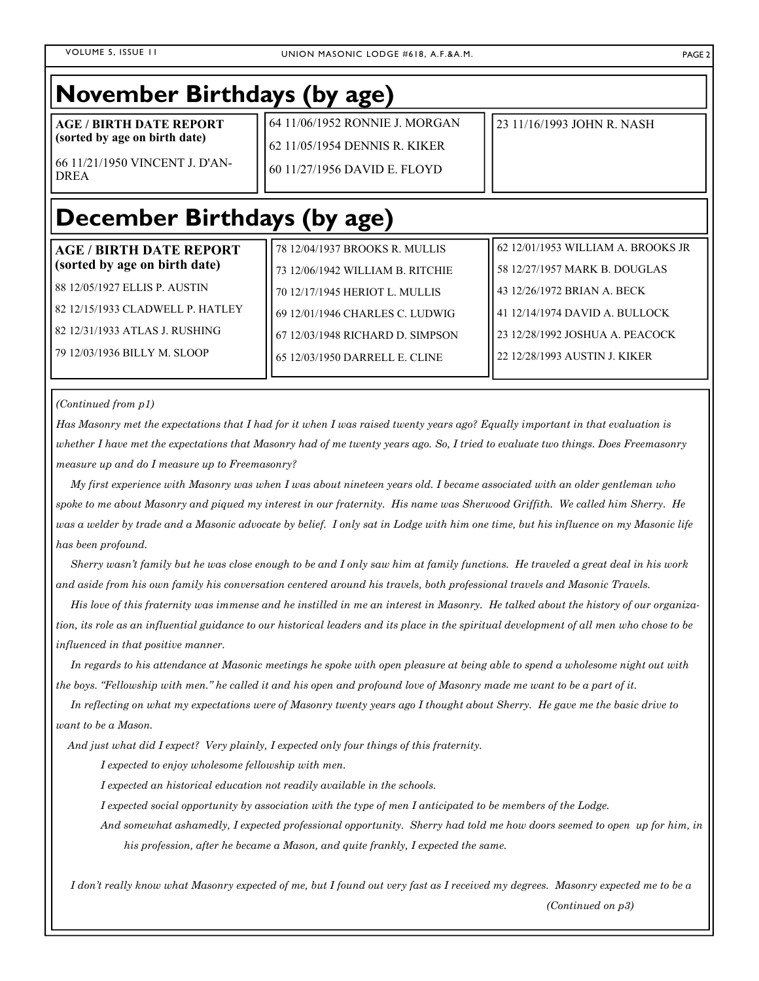## **November Birthdays (by age) AGE / BIRTH DATE REPORT (sorted by age on birth date)**  66 11/21/1950 VINCENT J. D'AN-DREA 64 11/06/1952 RONNIE J. MORGAN 62 11/05/1954 DENNIS R. KIKER 60 11/27/1956 DAVID E. FLOYD 23 11/16/1993 JOHN R. NASH **December Birthdays (by age)**

| <b>AGE / BIRTH DATE REPORT</b><br>(sorted by age on birth date) | 78 12/04/1937 BROOKS R. MULLIS   | 62 12/01/1953 WILLIAM A. BROOKS JR |
|-----------------------------------------------------------------|----------------------------------|------------------------------------|
|                                                                 | 73 12/06/1942 WILLIAM B. RITCHIE | 58 12/27/1957 MARK B. DOUGLAS      |
| 88 12/05/1927 ELLIS P. AUSTIN                                   | 70 12/17/1945 HERIOT L. MULLIS   | 43 12/26/1972 BRIAN A. BECK        |
| l 82 12/15/1933 CLADWELL P. HATLEY                              | 69 12/01/1946 CHARLES C. LUDWIG  | 41 12/14/1974 DAVID A. BULLOCK     |
| l 82 12/31/1933 ATLAS J. RUSHING-                               | 67 12/03/1948 RICHARD D. SIMPSON | 23 12/28/1992 JOSHUA A. PEACOCK    |
| 179 12/03/1936 BILLY M. SLOOP                                   | 65 12/03/1950 DARRELL E. CLINE   | 22 12/28/1993 AUSTIN J. KIKER      |
|                                                                 |                                  |                                    |

*(Continued from p1)* 

*Has Masonry met the expectations that I had for it when I was raised twenty years ago? Equally important in that evaluation is whether I have met the expectations that Masonry had of me twenty years ago. So, I tried to evaluate two things. Does Freemasonry measure up and do I measure up to Freemasonry?* 

 *My first experience with Masonry was when I was about nineteen years old. I became associated with an older gentleman who spoke to me about Masonry and piqued my interest in our fraternity. His name was Sherwood Griffith. We called him Sherry. He was a welder by trade and a Masonic advocate by belief. I only sat in Lodge with him one time, but his influence on my Masonic life has been profound.* 

 *Sherry wasn't family but he was close enough to be and I only saw him at family functions. He traveled a great deal in his work and aside from his own family his conversation centered around his travels, both professional travels and Masonic Travels.* 

 *His love of this fraternity was immense and he instilled in me an interest in Masonry. He talked about the history of our organization, its role as an influential guidance to our historical leaders and its place in the spiritual development of all men who chose to be influenced in that positive manner.* 

 *In regards to his attendance at Masonic meetings he spoke with open pleasure at being able to spend a wholesome night out with the boys. "Fellowship with men." he called it and his open and profound love of Masonry made me want to be a part of it.* 

 *In reflecting on what my expectations were of Masonry twenty years ago I thought about Sherry. He gave me the basic drive to want to be a Mason.* 

 *And just what did I expect? Very plainly, I expected only four things of this fraternity.* 

 *I expected to enjoy wholesome fellowship with men.* 

 *I expected an historical education not readily available in the schools.* 

 *I expected social opportunity by association with the type of men I anticipated to be members of the Lodge.* 

 *And somewhat ashamedly, I expected professional opportunity. Sherry had told me how doors seemed to open up for him, in his profession, after he became a Mason, and quite frankly, I expected the same.* 

 *I don't really know what Masonry expected of me, but I found out very fast as I received my degrees. Masonry expected me to be a (Continued on p3)*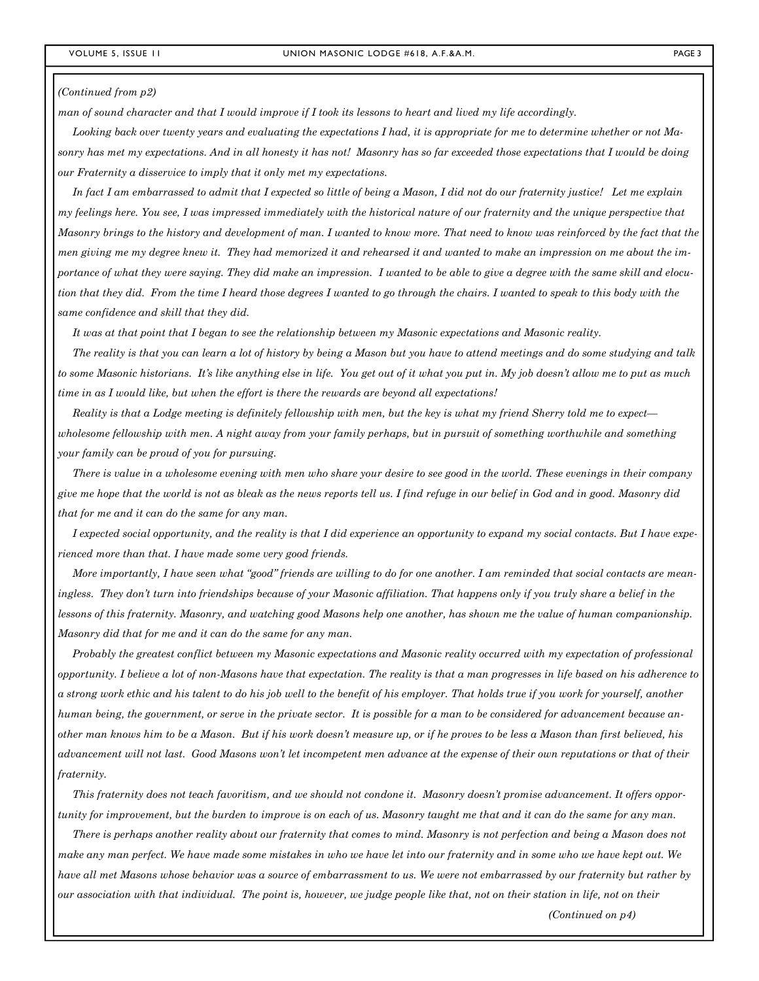#### *(Continued from p2)*

*man of sound character and that I would improve if I took its lessons to heart and lived my life accordingly.* 

 *Looking back over twenty years and evaluating the expectations I had, it is appropriate for me to determine whether or not Masonry has met my expectations. And in all honesty it has not! Masonry has so far exceeded those expectations that I would be doing our Fraternity a disservice to imply that it only met my expectations.* 

 *In fact I am embarrassed to admit that I expected so little of being a Mason, I did not do our fraternity justice! Let me explain my feelings here. You see, I was impressed immediately with the historical nature of our fraternity and the unique perspective that Masonry brings to the history and development of man. I wanted to know more. That need to know was reinforced by the fact that the men giving me my degree knew it. They had memorized it and rehearsed it and wanted to make an impression on me about the importance of what they were saying. They did make an impression. I wanted to be able to give a degree with the same skill and elocution that they did. From the time I heard those degrees I wanted to go through the chairs. I wanted to speak to this body with the same confidence and skill that they did.* 

 *It was at that point that I began to see the relationship between my Masonic expectations and Masonic reality.* 

 *The reality is that you can learn a lot of history by being a Mason but you have to attend meetings and do some studying and talk to some Masonic historians. It's like anything else in life. You get out of it what you put in. My job doesn't allow me to put as much time in as I would like, but when the effort is there the rewards are beyond all expectations!* 

 *Reality is that a Lodge meeting is definitely fellowship with men, but the key is what my friend Sherry told me to expect wholesome fellowship with men. A night away from your family perhaps, but in pursuit of something worthwhile and something your family can be proud of you for pursuing.* 

 *There is value in a wholesome evening with men who share your desire to see good in the world. These evenings in their company give me hope that the world is not as bleak as the news reports tell us. I find refuge in our belief in God and in good. Masonry did that for me and it can do the same for any man.* 

 *I expected social opportunity, and the reality is that I did experience an opportunity to expand my social contacts. But I have experienced more than that. I have made some very good friends.* 

 *More importantly, I have seen what "good" friends are willing to do for one another. I am reminded that social contacts are meaningless. They don't turn into friendships because of your Masonic affiliation. That happens only if you truly share a belief in the lessons of this fraternity. Masonry, and watching good Masons help one another, has shown me the value of human companionship. Masonry did that for me and it can do the same for any man.* 

 *Probably the greatest conflict between my Masonic expectations and Masonic reality occurred with my expectation of professional opportunity. I believe a lot of non-Masons have that expectation. The reality is that a man progresses in life based on his adherence to a strong work ethic and his talent to do his job well to the benefit of his employer. That holds true if you work for yourself, another human being, the government, or serve in the private sector. It is possible for a man to be considered for advancement because another man knows him to be a Mason. But if his work doesn't measure up, or if he proves to be less a Mason than first believed, his advancement will not last. Good Masons won't let incompetent men advance at the expense of their own reputations or that of their fraternity.* 

 *This fraternity does not teach favoritism, and we should not condone it. Masonry doesn't promise advancement. It offers opportunity for improvement, but the burden to improve is on each of us. Masonry taught me that and it can do the same for any man.* 

 *There is perhaps another reality about our fraternity that comes to mind. Masonry is not perfection and being a Mason does not make any man perfect. We have made some mistakes in who we have let into our fraternity and in some who we have kept out. We have all met Masons whose behavior was a source of embarrassment to us. We were not embarrassed by our fraternity but rather by our association with that individual. The point is, however, we judge people like that, not on their station in life, not on their* 

 *(Continued on p4)*